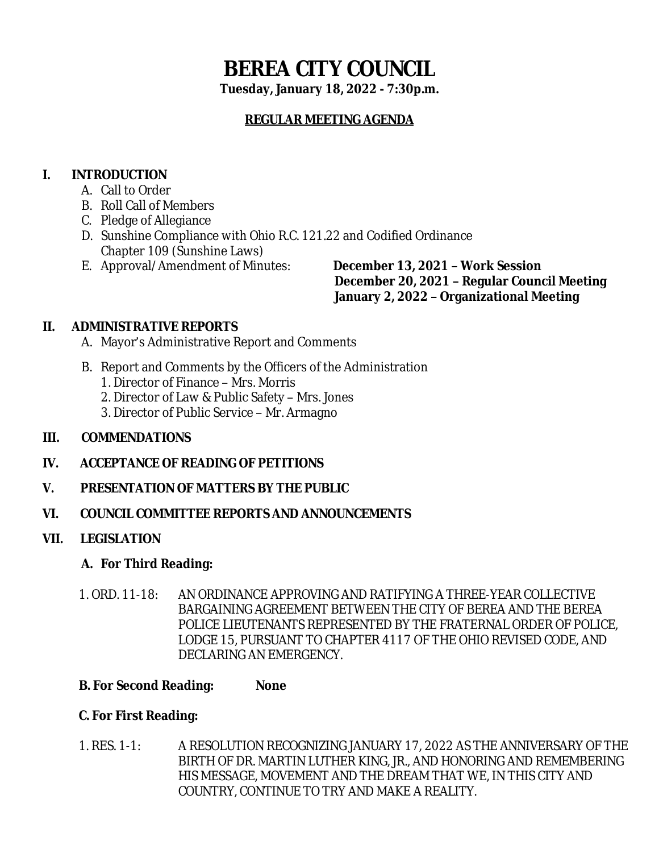# **BEREA CITY COUNCIL**

**Tuesday, January 18, 2022 - 7:30p.m.**

## **REGULAR MEETING AGENDA**

# **I. INTRODUCTION**

- A. Call to Order
- B. Roll Call of Members
- C. Pledge of Allegiance
- D. Sunshine Compliance with Ohio R.C. 121.22 and Codified Ordinance Chapter 109 (Sunshine Laws)
- E. Approval/Amendment of Minutes: **December 13, 2021 – Work Session**

 **December 20, 2021 – Regular Council Meeting January 2, 2022 – Organizational Meeting**

## **II. ADMINISTRATIVE REPORTS**

- A. Mayor's Administrative Report and Comments
- B. Report and Comments by the Officers of the Administration
	- 1. Director of Finance Mrs. Morris
	- 2. Director of Law & Public Safety Mrs. Jones
	- 3. Director of Public Service Mr. Armagno

## **III. COMMENDATIONS**

- **IV. ACCEPTANCE OF READING OF PETITIONS**
- **V. PRESENTATION OF MATTERS BY THE PUBLIC**
- **VI. COUNCIL COMMITTEE REPORTS AND ANNOUNCEMENTS**
- **VII. LEGISLATION**

## **A. For Third Reading:**

1. ORD. 11-18: AN ORDINANCE APPROVING AND RATIFYING A THREE-YEAR COLLECTIVE BARGAINING AGREEMENT BETWEEN THE CITY OF BEREA AND THE BEREA POLICE LIEUTENANTS REPRESENTED BY THE FRATERNAL ORDER OF POLICE, LODGE 15, PURSUANT TO CHAPTER 4117 OF THE OHIO REVISED CODE, AND DECLARING AN EMERGENCY.

#### **B. For Second Reading: None**

#### **C. For First Reading:**

1. RES. 1-1: A RESOLUTION RECOGNIZING JANUARY 17, 2022 AS THE ANNIVERSARY OF THE BIRTH OF DR. MARTIN LUTHER KING, JR., AND HONORING AND REMEMBERING HIS MESSAGE, MOVEMENT AND THE DREAM THAT WE, IN THIS CITY AND COUNTRY, CONTINUE TO TRY AND MAKE A REALITY.